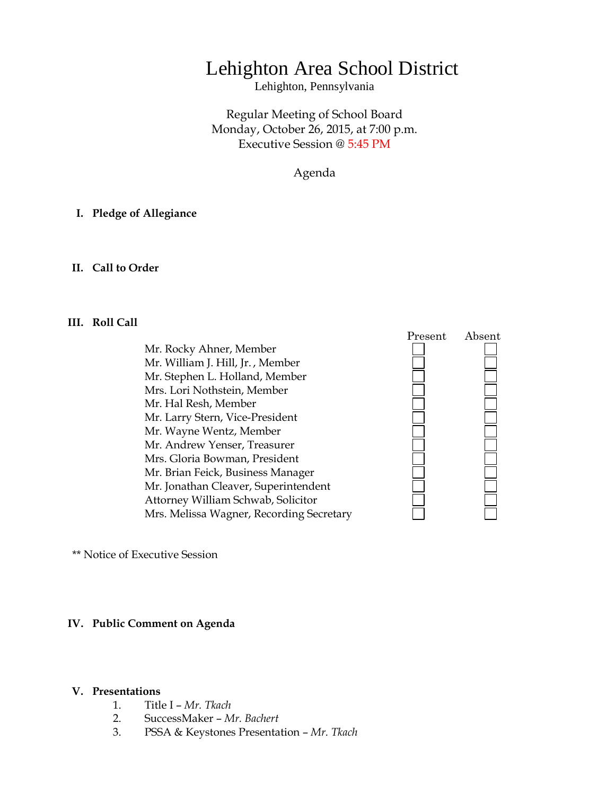## Lehighton Area School District

Lehighton, Pennsylvania

Regular Meeting of School Board Monday, October 26, 2015, at 7:00 p.m. Executive Session @ 5:45 PM

Agenda

### **I. Pledge of Allegiance**

### **II. Call to Order**

### **III. Roll Call**

Mr. Rocky Ahner, Member Mr. William J. Hill, Jr. , Member Mr. Stephen L. Holland, Member Mrs. Lori Nothstein, Member Mr. Hal Resh, Member Mr. Larry Stern, Vice-President Mr. Wayne Wentz, Member Mr. Andrew Yenser, Treasurer Mrs. Gloria Bowman, President Mr. Brian Feick, Business Manager Mr. Jonathan Cleaver, Superintendent Attorney William Schwab, Solicitor Mrs. Melissa Wagner, Recording Secretary



\*\* Notice of Executive Session

### **IV. Public Comment on Agenda**

#### **V. Presentations**

- 1. Title I *Mr. Tkach*
- 2. SuccessMaker *Mr. Bachert*
- 3. PSSA & Keystones Presentation *Mr. Tkach*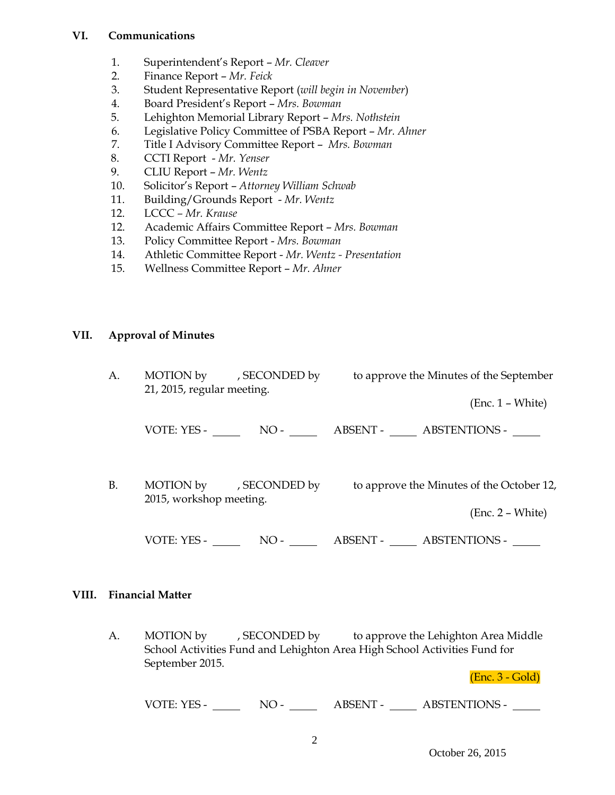## **VI. Communications**

- 1. Superintendent's Report *Mr. Cleaver*
- 2. Finance Report *Mr. Feick*
- 3. Student Representative Report (*will begin in November*)
- 4. Board President's Report *Mrs. Bowman*
- 5. Lehighton Memorial Library Report *Mrs. Nothstein*
- 6. Legislative Policy Committee of PSBA Report *Mr. Ahner*
- 7. Title I Advisory Committee Report *Mrs. Bowman*
- 8. CCTI Report *Mr. Yenser*
- 9. CLIU Report *Mr. Wentz*
- 10. Solicitor's Report *Attorney William Schwab*
- 11. Building/Grounds Report *Mr. Wentz*
- 12. LCCC *– Mr. Krause*
- 12. Academic Affairs Committee Report *Mrs. Bowman*
- 13. Policy Committee Report *Mrs. Bowman*
- 14. Athletic Committee Report *Mr. Wentz - Presentation*
- 15. Wellness Committee Report *Mr. Ahner*

## **VII. Approval of Minutes**

| A.        | 21, 2015, regular meeting. | MOTION by , SECONDED by | to approve the Minutes of the September                         |
|-----------|----------------------------|-------------------------|-----------------------------------------------------------------|
|           |                            |                         | $(Enc. 1 - White)$                                              |
|           |                            |                         | VOTE: YES - NO - NO - ABSENT - ABSTENTIONS -                    |
| <b>B.</b> | 2015, workshop meeting.    | MOTION by , SECONDED by | to approve the Minutes of the October 12,<br>$(Enc. 2 - White)$ |
|           | VOTE: YES -                | $NO -$                  | <b>ABSTENTIONS -</b><br>ABSENT -                                |

### **VIII. Financial Matter**

A. MOTION by , SECONDED by to approve the Lehighton Area Middle School Activities Fund and Lehighton Area High School Activities Fund for September 2015.

(Enc. 3 - Gold)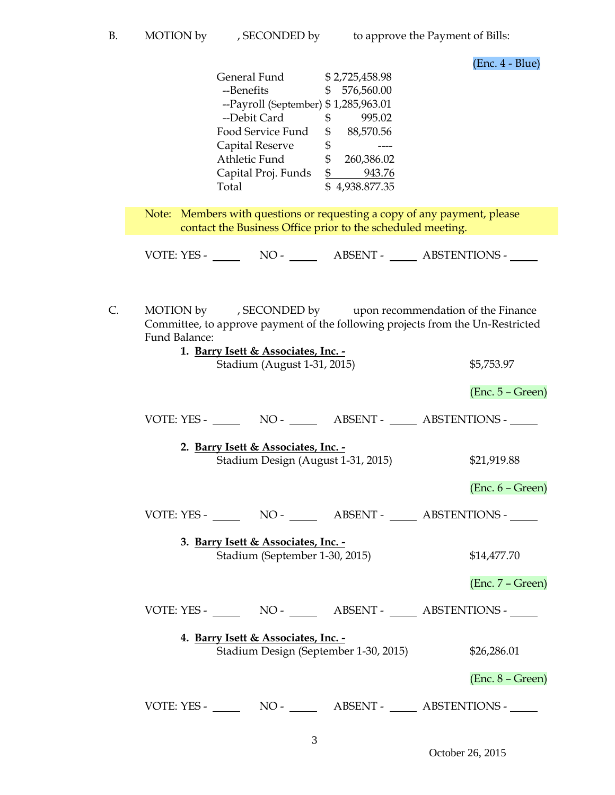(Enc. 4 - Blue)

| General Fund                         |    | \$2,725,458.98 |
|--------------------------------------|----|----------------|
| --Benefits                           | S  | 576,560.00     |
| --Payroll (September) \$1,285,963.01 |    |                |
| --Debit Card                         | \$ | 995.02         |
| Food Service Fund                    | \$ | 88,570.56      |
| Capital Reserve                      | \$ |                |
| Athletic Fund                        | S  | 260,386.02     |
| Capital Proj. Funds                  | \$ | 943.76         |
| Total                                |    | 4,938.877.35   |

Note: Members with questions or requesting a copy of any payment, please contact the Business Office prior to the scheduled meeting.

VOTE: YES - NO - NO - ABSENT - ABSTENTIONS -

C. MOTION by , SECONDED by upon recommendation of the Finance Committee, to approve payment of the following projects from the Un-Restricted Fund Balance:

| 1. Barry Isett & Associates, Inc. -<br>Stadium (August 1-31, 2015)           | \$5,753.97         |
|------------------------------------------------------------------------------|--------------------|
|                                                                              | $(Enc. 5 - Green)$ |
|                                                                              |                    |
| 2. Barry Isett & Associates, Inc. -<br>Stadium Design (August 1-31, 2015)    | \$21,919.88        |
|                                                                              | $(Enc. 6 - Green)$ |
|                                                                              |                    |
| 3. Barry Isett & Associates, Inc. -<br>Stadium (September 1-30, 2015)        | \$14,477.70        |
|                                                                              | $(Enc. 7 - Green)$ |
|                                                                              |                    |
| 4. Barry Isett & Associates, Inc. -<br>Stadium Design (September 1-30, 2015) | \$26,286.01        |
|                                                                              | $(Enc. 8 - Green)$ |
| NO - _________ ABSENT - ______ ABSTENTIONS - _____<br>VOTE: YES -            |                    |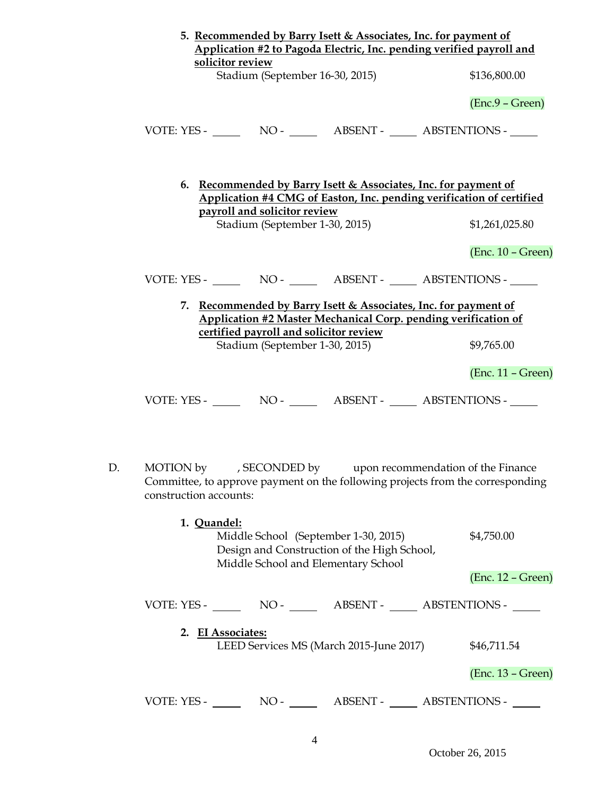|    | 5. Recommended by Barry Isett & Associates, Inc. for payment of<br>Application #2 to Pagoda Electric, Inc. pending verified payroll and<br>solicitor review                                               |                     |  |
|----|-----------------------------------------------------------------------------------------------------------------------------------------------------------------------------------------------------------|---------------------|--|
|    | Stadium (September 16-30, 2015)                                                                                                                                                                           | \$136,800.00        |  |
|    |                                                                                                                                                                                                           | $(Enc.9 - Green)$   |  |
|    | VOTE: YES - NO - NO - NO - ABSENT - ABSTENTIONS -                                                                                                                                                         |                     |  |
|    | 6. Recommended by Barry Isett & Associates, Inc. for payment of<br>Application #4 CMG of Easton, Inc. pending verification of certified<br>payroll and solicitor review<br>Stadium (September 1-30, 2015) | \$1,261,025.80      |  |
|    |                                                                                                                                                                                                           | $(Enc. 10 - Green)$ |  |
|    | VOTE: YES - NO - NO - ABSENT - ABSTENTIONS -                                                                                                                                                              |                     |  |
|    | 7. Recommended by Barry Isett & Associates, Inc. for payment of<br>Application #2 Master Mechanical Corp. pending verification of                                                                         |                     |  |
|    | certified payroll and solicitor review<br>Stadium (September 1-30, 2015)                                                                                                                                  | \$9,765.00          |  |
|    |                                                                                                                                                                                                           | (Enc. 11 - Green)   |  |
|    | VOTE: YES - NO - NO - NO - ABSENT - ABSTENTIONS -                                                                                                                                                         |                     |  |
| D. | MOTION by , SECONDED by upon recommendation of the Finance<br>Committee, to approve payment on the following projects from the corresponding<br>construction accounts:                                    |                     |  |
|    | 1. Quandel:<br>Middle School (September 1-30, 2015)<br>Design and Construction of the High School,<br>Middle School and Elementary School                                                                 | \$4,750.00          |  |
|    |                                                                                                                                                                                                           | $(Enc. 12 - Green)$ |  |
|    |                                                                                                                                                                                                           |                     |  |
|    | 2. EI Associates:<br>LEED Services MS (March 2015-June 2017)                                                                                                                                              | \$46,711.54         |  |
|    |                                                                                                                                                                                                           | $(Enc. 13 - Green)$ |  |
|    |                                                                                                                                                                                                           |                     |  |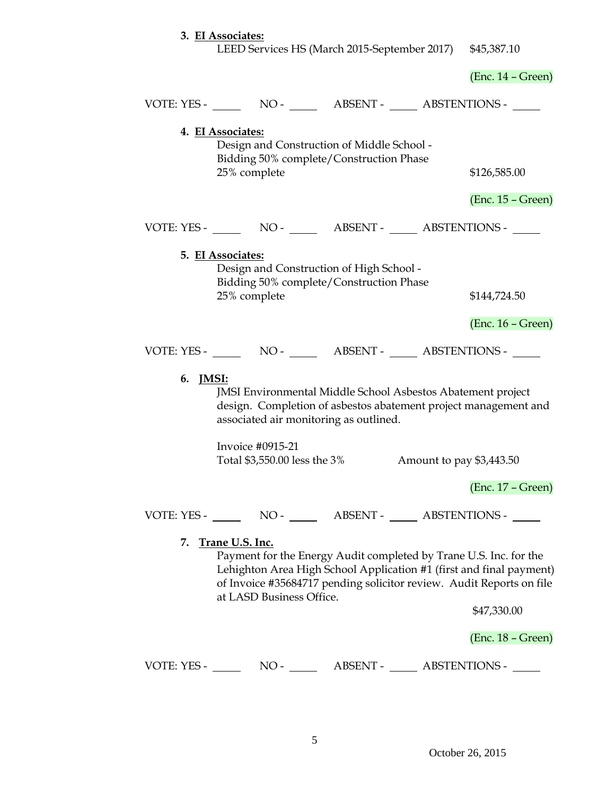# **3. EI Associates:** LEED Services HS (March 2015-September 2017) \$45,387.10 (Enc. 14 – Green) VOTE: YES - NO - NO - ABSENT - ABSTENTIONS -**4. EI Associates:** Design and Construction of Middle School - Bidding 50% complete/Construction Phase

25% complete \$126,585.00

VOTE: YES - NO - ABSENT - ABSTENTIONS - **5. EI Associates:** Design and Construction of High School - Bidding 50% complete/Construction Phase 25% complete \$144,724.50 (Enc. 16 – Green) VOTE: YES - NO - NO - ABSENT - ABSTENTIONS -**6. JMSI:** JMSI Environmental Middle School Asbestos Abatement project design. Completion of asbestos abatement project management and associated air monitoring as outlined. Invoice #0915-21 Total \$3,550.00 less the 3% Amount to pay \$3,443.50 (Enc. 17 – Green) VOTE: YES - NO - NO - ABSENT - ABSTENTIONS -**7. Trane U.S. Inc.** Payment for the Energy Audit completed by Trane U.S. Inc. for the Lehighton Area High School Application #1 (first and final payment) of Invoice #35684717 pending solicitor review. Audit Reports on file at LASD Business Office.

\$47,330.00

(Enc. 18 – Green)

(Enc. 15 – Green)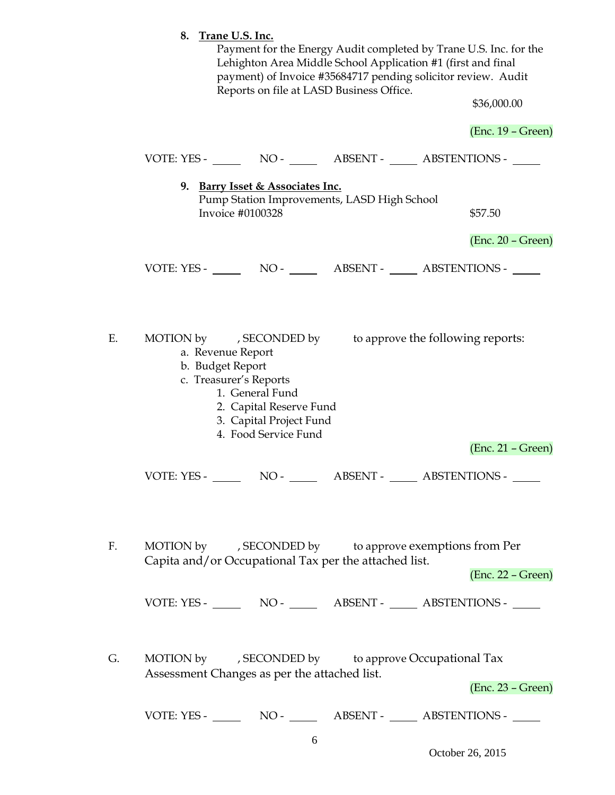|    | 8. Trane U.S. Inc.<br>Payment for the Energy Audit completed by Trane U.S. Inc. for the<br>Lehighton Area Middle School Application #1 (first and final<br>payment) of Invoice #35684717 pending solicitor review. Audit         |                     |
|----|----------------------------------------------------------------------------------------------------------------------------------------------------------------------------------------------------------------------------------|---------------------|
|    | Reports on file at LASD Business Office.                                                                                                                                                                                         | \$36,000.00         |
|    |                                                                                                                                                                                                                                  | $(Enc. 19 - Green)$ |
|    |                                                                                                                                                                                                                                  |                     |
|    | 9. Barry Isset & Associates Inc.<br>Pump Station Improvements, LASD High School<br>Invoice #0100328                                                                                                                              | \$57.50             |
|    |                                                                                                                                                                                                                                  | $(Enc. 20 - Green)$ |
|    |                                                                                                                                                                                                                                  |                     |
| Е. | MOTION by , SECONDED by<br>to approve the following reports:<br>a. Revenue Report<br>b. Budget Report<br>c. Treasurer's Reports<br>1. General Fund<br>2. Capital Reserve Fund<br>3. Capital Project Fund<br>4. Food Service Fund | $(Enc. 21 - Green)$ |
| F. | MOTION by , SECONDED by to approve exemptions from Per                                                                                                                                                                           |                     |
|    | Capita and/or Occupational Tax per the attached list.                                                                                                                                                                            | (Enc. 22 – Green)   |
|    |                                                                                                                                                                                                                                  |                     |
| G. | MOTION by , SECONDED by to approve Occupational Tax<br>Assessment Changes as per the attached list.                                                                                                                              | $(Enc. 23 - Green)$ |
|    |                                                                                                                                                                                                                                  |                     |

October 26, 2015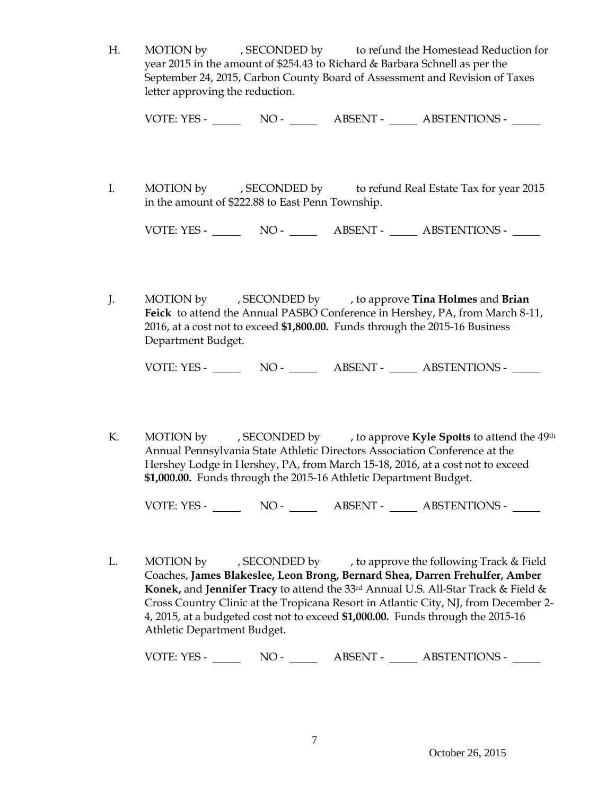H. MOTION by , SECONDED by to refund the Homestead Reduction for year 2015 in the amount of \$254.43 to Richard & Barbara Schnell as per the September 24, 2015, Carbon County Board of Assessment and Revision of Taxes letter approving the reduction.

VOTE: YES - NO - NO - ABSENT - ABSTENTIONS -

I. MOTION by , SECONDED by to refund Real Estate Tax for year 2015 in the amount of \$222.88 to East Penn Township.

VOTE: YES - NO - NO - ABSENT - ABSTENTIONS -

J. MOTION by , SECONDED by , to approve **Tina Holmes** and **Brian Feick** to attend the Annual PASBO Conference in Hershey, PA, from March 8-11, 2016, at a cost not to exceed **\$1,800.00.** Funds through the 2015-16 Business Department Budget.

VOTE: YES - NO - NO - ABSENT - ABSTENTIONS -

K. MOTION by , SECONDED by , to approve **Kyle Spotts** to attend the 49<sup>th</sup> Annual Pennsylvania State Athletic Directors Association Conference at the Hershey Lodge in Hershey, PA, from March 15-18, 2016, at a cost not to exceed **\$1,000.00.** Funds through the 2015-16 Athletic Department Budget.

VOTE: YES - NO - NO - ABSENT - ABSTENTIONS -

L. MOTION by , SECONDED by , to approve the following Track & Field Coaches, **James Blakeslee, Leon Brong, Bernard Shea, Darren Frehulfer, Amber Konek,** and **Jennifer Tracy** to attend the 33rd Annual U.S. All-Star Track & Field & Cross Country Clinic at the Tropicana Resort in Atlantic City, NJ, from December 2- 4, 2015, at a budgeted cost not to exceed **\$1,000.00.** Funds through the 2015-16 Athletic Department Budget.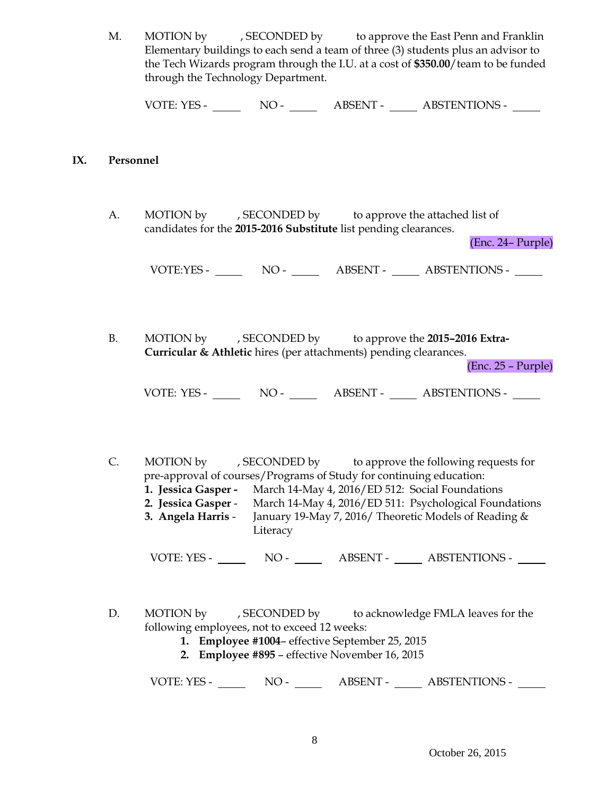M. MOTION by , SECONDED by to approve the East Penn and Franklin Elementary buildings to each send a team of three (3) students plus an advisor to the Tech Wizards program through the I.U. at a cost of **\$350.00**/team to be funded through the Technology Department.

VOTE: YES - NO - NO - ABSENT - ABSTENTIONS -

### **IX. Personnel**

A. MOTION by , SECONDED by to approve the attached list of candidates for the **2015-2016 Substitute** list pending clearances.

(Enc. 24– Purple)

VOTE:YES - NO - NO - ABSENT - ABSTENTIONS -

B. MOTION by , SECONDED by to approve the **2015–2016 Extra-Curricular & Athletic** hires (per attachments) pending clearances.

(Enc. 25 – Purple)

VOTE: YES - NO - ABSENT - ABSTENTIONS -

C. MOTION by , SECONDED by to approve the following requests for pre-approval of courses/Programs of Study for continuing education: **1. Jessica Gasper -** March 14-May 4, 2016/ED 512: Social Foundations **2. Jessica Gasper** - March 14-May 4, 2016/ED 511: Psychological Foundations **3. Angela Harris** - January 19-May 7, 2016/ Theoretic Models of Reading &

VOTE: YES - NO - ABSENT - ABSTENTIONS -

- D. MOTION by , SECONDED by to acknowledge FMLA leaves for the following employees, not to exceed 12 weeks:
	- **1. Employee #1004** effective September 25, 2015

**Literacy** 

**2. Employee #895** – effective November 16, 2015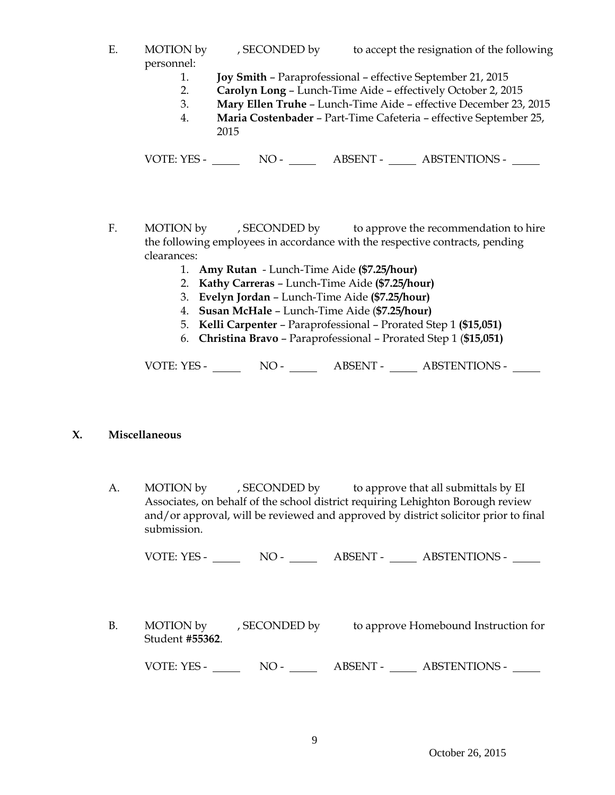- E. MOTION by , SECONDED by to accept the resignation of the following personnel:
	- 1. **Joy Smith** Paraprofessional effective September 21, 2015
	- 2. **Carolyn Long** Lunch-Time Aide effectively October 2, 2015
	- 3. **Mary Ellen Truhe** Lunch-Time Aide effective December 23, 2015
	- 4. **Maria Costenbader** Part-Time Cafeteria effective September 25, 2015

VOTE: YES - NO - NO - ABSENT - ABSTENTIONS -

- F. MOTION by , SECONDED by to approve the recommendation to hire the following employees in accordance with the respective contracts, pending clearances:
	- 1. **Amy Rutan** Lunch-Time Aide **(\$7.25/hour)**
	- 2. **Kathy Carreras** Lunch-Time Aide **(\$7.25/hour)**
	- 3. **Evelyn Jordan** Lunch-Time Aide **(\$7.25/hour)**
	- 4. **Susan McHale**  Lunch-Time Aide (**\$7.25/hour)**
	- 5. **Kelli Carpenter** Paraprofessional Prorated Step 1 **(\$15,051)**
	- 6. **Christina Bravo** Paraprofessional Prorated Step 1 (**\$15,051)**

VOTE: YES - NO - NO - ABSENT - ABSTENTIONS -

## **X. Miscellaneous**

A. MOTION by , SECONDED by to approve that all submittals by EI Associates, on behalf of the school district requiring Lehighton Borough review and/or approval, will be reviewed and approved by district solicitor prior to final submission.

VOTE: YES - NO - ABSENT - ABSTENTIONS -

B. MOTION by , SECONDED by to approve Homebound Instruction for Student **#55362**. VOTE: YES - NO - ABSENT - ABSTENTIONS -

October 26, 2015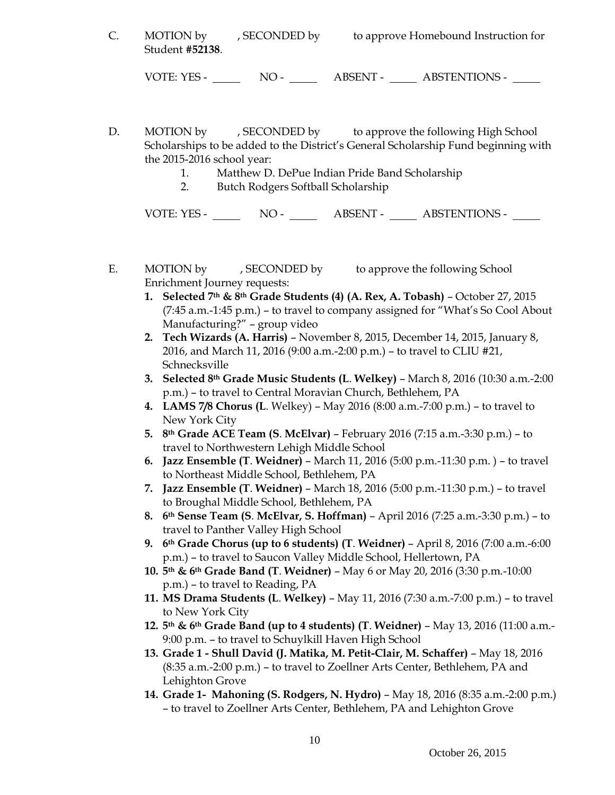C. MOTION by , SECONDED by to approve Homebound Instruction for Student **#52138**.

VOTE: YES - NO - NO - ABSENT - ABSTENTIONS -

D. MOTION by , SECONDED by to approve the following High School Scholarships to be added to the District's General Scholarship Fund beginning with the 2015-2016 school year:

- 1. Matthew D. DePue Indian Pride Band Scholarship
- 2. Butch Rodgers Softball Scholarship

- E. MOTION by , SECONDED by to approve the following School Enrichment Journey requests:
	- **1. Selected 7th & 8th Grade Students (4) (A. Rex, A. Tobash)** October 27, 2015 (7:45 a.m.-1:45 p.m.) – to travel to company assigned for "What's So Cool About Manufacturing?" – group video
	- **2. Tech Wizards (A. Harris)** November 8, 2015, December 14, 2015, January 8, 2016, and March 11, 2016 (9:00 a.m.-2:00 p.m.) – to travel to CLIU #21, Schnecksville
	- **3. Selected 8th Grade Music Students (L**. **Welkey)** March 8, 2016 (10:30 a.m.-2:00 p.m.) – to travel to Central Moravian Church, Bethlehem, PA
	- **4. LAMS 7/8 Chorus (L**. Welkey) May 2016 (8:00 a.m.-7:00 p.m.) to travel to New York City
	- **5. 8th Grade ACE Team (S**. **McElvar)** February 2016 (7:15 a.m.-3:30 p.m.) to travel to Northwestern Lehigh Middle School
	- **6. Jazz Ensemble (T**. **Weidner)** March 11, 2016 (5:00 p.m.-11:30 p.m. ) to travel to Northeast Middle School, Bethlehem, PA
	- **7. Jazz Ensemble (T**. **Weidner)** March 18, 2016 (5:00 p.m.-11:30 p.m.) to travel to Broughal Middle School, Bethlehem, PA
	- **8. 6th Sense Team (S**. **McElvar, S. Hoffman)** April 2016 (7:25 a.m.-3:30 p.m.) to travel to Panther Valley High School
	- **9. 6th Grade Chorus (up to 6 students) (T**. **Weidner)** April 8, 2016 (7:00 a.m.-6:00 p.m.) – to travel to Saucon Valley Middle School, Hellertown, PA
	- **10. 5th & 6th Grade Band (T**. **Weidner)** May 6 or May 20, 2016 (3:30 p.m.-10:00 p.m.) – to travel to Reading, PA
	- **11. MS Drama Students (L**. **Welkey)** May 11, 2016 (7:30 a.m.-7:00 p.m.) to travel to New York City
	- **12. 5th & 6th Grade Band (up to 4 students) (T**. **Weidner)** May 13, 2016 (11:00 a.m.- 9:00 p.m. – to travel to Schuylkill Haven High School
	- **13. Grade 1 - Shull David (J. Matika, M. Petit-Clair, M. Schaffer)** May 18, 2016 (8:35 a.m.-2:00 p.m.) – to travel to Zoellner Arts Center, Bethlehem, PA and Lehighton Grove
	- **14. Grade 1- Mahoning (S. Rodgers, N. Hydro)**  May 18, 2016 (8:35 a.m.-2:00 p.m.) – to travel to Zoellner Arts Center, Bethlehem, PA and Lehighton Grove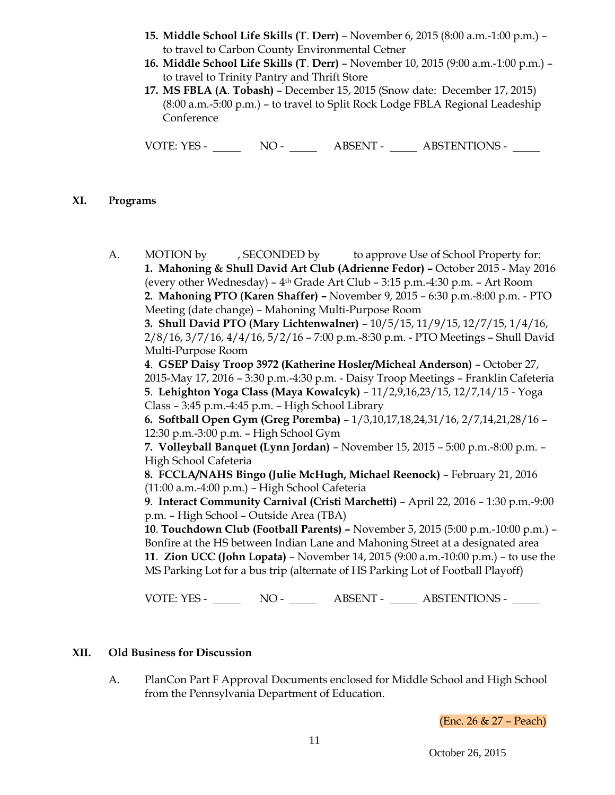- **15. Middle School Life Skills (T**. **Derr)**  November 6, 2015 (8:00 a.m.-1:00 p.m.) to travel to Carbon County Environmental Cetner
- **16. Middle School Life Skills (T**. **Derr)** November 10, 2015 (9:00 a.m.-1:00 p.m.) to travel to Trinity Pantry and Thrift Store
- **17. MS FBLA (A**. **Tobash)** December 15, 2015 (Snow date: December 17, 2015) (8:00 a.m.-5:00 p.m.) – to travel to Split Rock Lodge FBLA Regional Leadeship **Conference**

VOTE: YES - NO - NO - ABSENT - ABSTENTIONS -

## **XI. Programs**

A. MOTION by , SECONDED by to approve Use of School Property for: **1. Mahoning & Shull David Art Club (Adrienne Fedor) –** October 2015 - May 2016 (every other Wednesday) –  $4<sup>th</sup>$  Grade Art Club – 3:15 p.m. – 4:30 p.m. – Art Room **2. Mahoning PTO (Karen Shaffer) –** November 9, 2015 – 6:30 p.m.-8:00 p.m. - PTO Meeting (date change) – Mahoning Multi-Purpose Room **3. Shull David PTO (Mary Lichtenwalner)** – 10/5/15, 11/9/15, 12/7/15, 1/4/16, 2/8/16, 3/7/16, 4/4/16, 5/2/16 – 7:00 p.m.-8:30 p.m. - PTO Meetings – Shull David Multi-Purpose Room **4**. **GSEP Daisy Troop 3972 (Katherine Hosler/Micheal Anderson)** – October 27, 2015-May 17, 2016 – 3:30 p.m.-4:30 p.m. - Daisy Troop Meetings – Franklin Cafeteria **5**. **Lehighton Yoga Class (Maya Kowalcyk)** – 11/2,9,16,23/15, 12/7,14/15 - Yoga Class – 3:45 p.m.-4:45 p.m. – High School Library **6. Softball Open Gym (Greg Poremba)** – 1/3,10,17,18,24,31/16, 2/7,14,21,28/16 – 12:30 p.m.-3:00 p.m. – High School Gym **7. Volleyball Banquet (Lynn Jordan)** – November 15, 2015 – 5:00 p.m.-8:00 p.m. – High School Cafeteria **8. FCCLA/NAHS Bingo (Julie McHugh, Michael Reenock)** – February 21, 2016 (11:00 a.m.-4:00 p.m.) – High School Cafeteria **9**. **Interact Community Carnival (Cristi Marchetti)** – April 22, 2016 – 1:30 p.m.-9:00 p.m. – High School – Outside Area (TBA) **10**. **Touchdown Club (Football Parents) –** November 5, 2015 (5:00 p.m.-10:00 p.m.) – Bonfire at the HS between Indian Lane and Mahoning Street at a designated area **11**. **Zion UCC (John Lopata)** – November 14, 2015 (9:00 a.m.-10:00 p.m.) – to use the MS Parking Lot for a bus trip (alternate of HS Parking Lot of Football Playoff)

VOTE: YES - NO - NO - ABSENT - ABSTENTIONS -

## **XII. Old Business for Discussion**

A. PlanCon Part F Approval Documents enclosed for Middle School and High School from the Pennsylvania Department of Education.

(Enc. 26 & 27 – Peach)